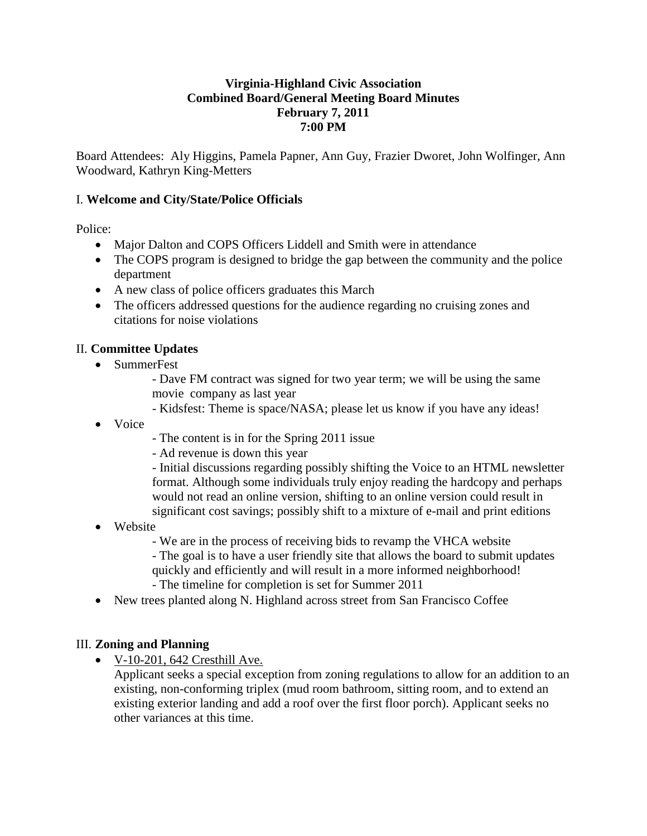## **Virginia-Highland Civic Association Combined Board/General Meeting Board Minutes February 7, 2011 7:00 PM**

Board Attendees: Aly Higgins, Pamela Papner, Ann Guy, Frazier Dworet, John Wolfinger, Ann Woodward, Kathryn King-Metters

## I. **Welcome and City/State/Police Officials**

Police:

- Major Dalton and COPS Officers Liddell and Smith were in attendance
- The COPS program is designed to bridge the gap between the community and the police department
- A new class of police officers graduates this March
- The officers addressed questions for the audience regarding no cruising zones and citations for noise violations

## II. **Committee Updates**

- SummerFest
	- Dave FM contract was signed for two year term; we will be using the same movie company as last year
	- Kidsfest: Theme is space/NASA; please let us know if you have any ideas!
- Voice
- The content is in for the Spring 2011 issue
- Ad revenue is down this year

- Initial discussions regarding possibly shifting the Voice to an HTML newsletter format. Although some individuals truly enjoy reading the hardcopy and perhaps would not read an online version, shifting to an online version could result in significant cost savings; possibly shift to a mixture of e-mail and print editions

- Website
	- We are in the process of receiving bids to revamp the VHCA website
	- The goal is to have a user friendly site that allows the board to submit updates quickly and efficiently and will result in a more informed neighborhood!
	- The timeline for completion is set for Summer 2011
- New trees planted along N. Highland across street from San Francisco Coffee

## III. **Zoning and Planning**

 $\bullet$  V-10-201, 642 Cresthill Ave.

Applicant seeks a special exception from zoning regulations to allow for an addition to an existing, non-conforming triplex (mud room bathroom, sitting room, and to extend an existing exterior landing and add a roof over the first floor porch). Applicant seeks no other variances at this time.